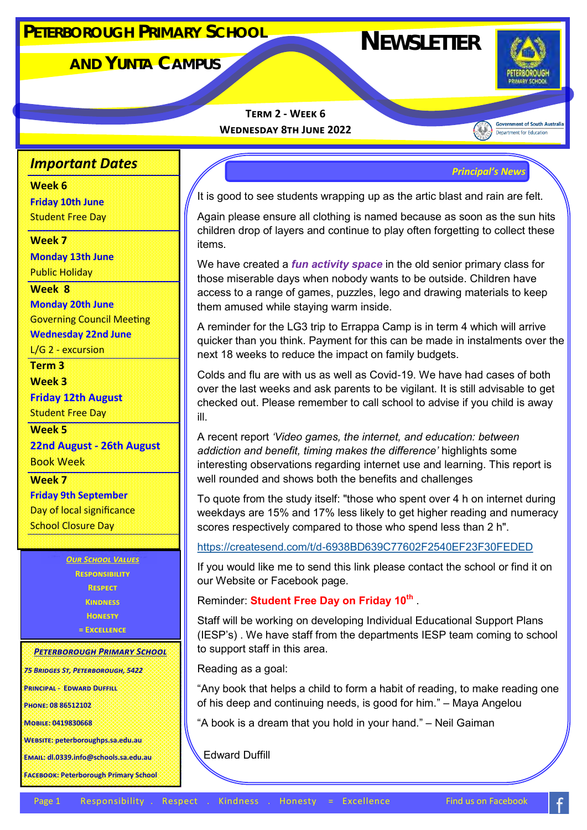# **NEWSLETTER <sup>P</sup>ETERBOROUGH <sup>P</sup>RIMARY <sup>S</sup>CHOOL**

**AND YUNTA CAMPUS**



**Government of South Australia** Department for Education

**Term 2 - Week 6 Wednesday 8th June 2022** 

## *Important Dates*

#### **Week 6**

**Friday 10th June**  Student Free Day

#### **Week 7**

**Monday 13th June**  Public Holiday

#### **Week 8**

**Monday 20th June** Governing Council Meeting **Wednesday 22nd June**

L/G 2 - excursion

**Term 3**

**Week 3**

**Friday 12th August** Student Free Day

**Week 5**

**22nd August - 26th August** Book Week

**Week 7 Friday 9th September** Day of local significance School Closure Day

> *Our School Values* **Responsibility Respect Kindness Honesty = Excellence**

### *Peterborough Primary School*

*75 Bridges St, Peterborough, 5422*

**Principal - Edward Duffill**

**Phone: 08 86512102**

**Mobile: 0419830668**

**Website: peterboroughps.sa.edu.au**

**Email: dl.0339.info@schools.sa.edu.au**

**Facebook: Peterborough Primary School**

*Principal's News*

It is good to see students wrapping up as the artic blast and rain are felt.

Again please ensure all clothing is named because as soon as the sun hits children drop of layers and continue to play often forgetting to collect these items.

We have created a *fun activity space* in the old senior primary class for those miserable days when nobody wants to be outside. Children have access to a range of games, puzzles, lego and drawing materials to keep them amused while staying warm inside.

A reminder for the LG3 trip to Errappa Camp is in term 4 which will arrive quicker than you think. Payment for this can be made in instalments over the next 18 weeks to reduce the impact on family budgets.

Colds and flu are with us as well as Covid-19. We have had cases of both over the last weeks and ask parents to be vigilant. It is still advisable to get checked out. Please remember to call school to advise if you child is away ill.

A recent report *'Video games, the internet, and education: between addiction and benefit, timing makes the difference'* highlights some interesting observations regarding internet use and learning. This report is well rounded and shows both the benefits and challenges

To quote from the study itself: "those who spent over 4 h on internet during weekdays are 15% and 17% less likely to get higher reading and numeracy scores respectively compared to those who spend less than 2 h".

https://createsend.com/t/d-[6938BD639C77602F2540EF23F30FEDED](https://createsend.com/t/d-6938BD639C77602F2540EF23F30FEDED)

If you would like me to send this link please contact the school or find it on our Website or Facebook page.

Reminder: **Student Free Day on Friday 10th** .

Staff will be working on developing Individual Educational Support Plans (IESP's) . We have staff from the departments IESP team coming to school to support staff in this area.

Reading as a goal:

"Any book that helps a child to form a habit of reading, to make reading one of his deep and continuing needs, is good for him." – Maya Angelou

"A book is a dream that you hold in your hand." – Neil Gaiman

Edward Duffill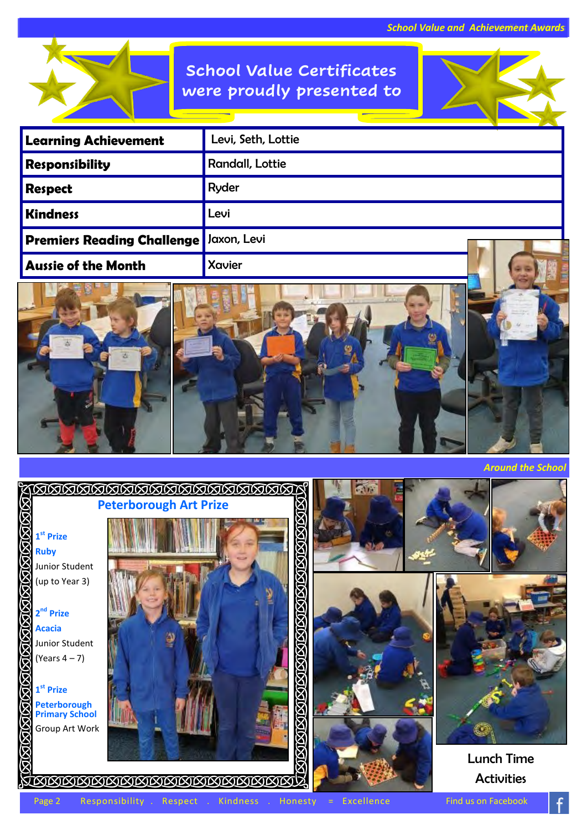## **School Value Certificates were proudly presented to**



| <b>Learning Achievement</b>              | Levi, Seth, Lottie     |
|------------------------------------------|------------------------|
| Responsibility                           | <b>Randall, Lottie</b> |
| Respect                                  | Ryder                  |
| <b>Kindness</b>                          | Levi                   |
| Premiers Reading Challenge   Jaxon, Levi |                        |
| <b>Aussie of the Month</b>               | Xavier                 |





*Around the School*

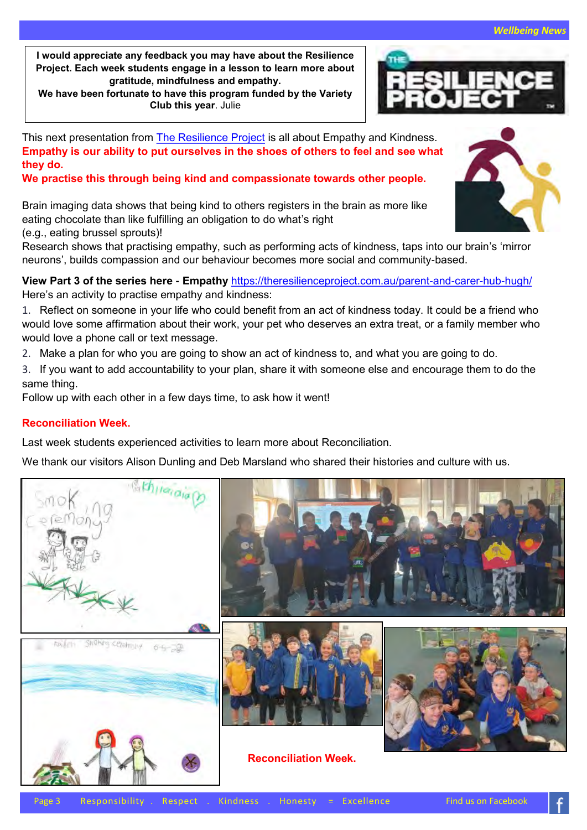**I would appreciate any feedback you may have about the Resilience Project. Each week students engage in a lesson to learn more about gratitude, mindfulness and empathy.**

**We have been fortunate to have this program funded by the Variety Club this year**. Julie

This next presentation from [The Resilience Project](about:blank) is all about Empathy and Kindness. **Empathy is our ability to put ourselves in the shoes of others to feel and see what they do.** 

**We practise this through being kind and compassionate towards other people.**

Brain imaging data shows that being kind to others registers in the brain as more like eating chocolate than like fulfilling an obligation to do what's right (e.g., eating brussel sprouts)!

Research shows that practising empathy, such as performing acts of kindness, taps into our brain's 'mirror neurons', builds compassion and our behaviour becomes more social and community-based.

**View Part 3 of the series here - Empathy** [https://theresilienceproject.com.au/parent](about:blank)-and-carer-hub-hugh/ Here's an activity to practise empathy and kindness:

1. Reflect on someone in your life who could benefit from an act of kindness today. It could be a friend who would love some affirmation about their work, your pet who deserves an extra treat, or a family member who would love a phone call or text message.

- 2. Make a plan for who you are going to show an act of kindness to, and what you are going to do.
- 3. If you want to add accountability to your plan, share it with someone else and encourage them to do the same thing.

Follow up with each other in a few days time, to ask how it went!

### **Reconciliation Week.**

Last week students experienced activities to learn more about Reconciliation.

We thank our visitors Alison Dunling and Deb Marsland who shared their histories and culture with us.





Page 3 Responsibility . Respect . Kindness . Honesty = Excellence Find us on Facebook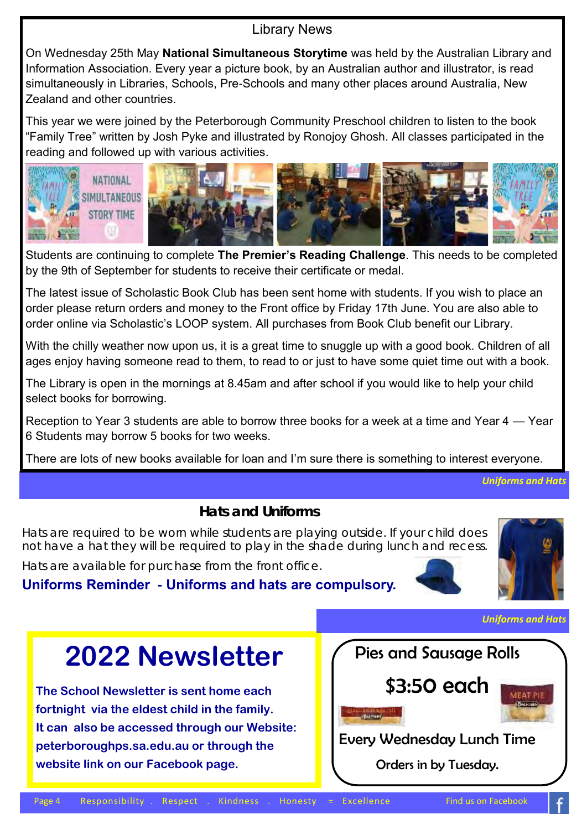## Library News

On Wednesday 25th May **National Simultaneous Storytime** was held by the Australian Library and Information Association. Every year a picture book, by an Australian author and illustrator, is read simultaneously in Libraries, Schools, Pre-Schools and many other places around Australia, New Zealand and other countries.

This year we were joined by the Peterborough Community Preschool children to listen to the book "Family Tree" written by Josh Pyke and illustrated by Ronojoy Ghosh. All classes participated in the reading and followed up with various activities.



Students are continuing to complete **The Premier's Reading Challenge**. This needs to be completed by the 9th of September for students to receive their certificate or medal.

The latest issue of Scholastic Book Club has been sent home with students. If you wish to place an order please return orders and money to the Front office by Friday 17th June. You are also able to order online via Scholastic's LOOP system. All purchases from Book Club benefit our Library.

With the chilly weather now upon us, it is a great time to snuggle up with a good book. Children of all ages enjoy having someone read to them, to read to or just to have some quiet time out with a book.

The Library is open in the mornings at 8.45am and after school if you would like to help your child select books for borrowing.

Reception to Year 3 students are able to borrow three books for a week at a time and Year 4 — Year 6 Students may borrow 5 books for two weeks.

There are lots of new books available for loan and I'm sure there is something to interest everyone.

*Uniforms and Hats*

### **Hats and Uniforms**

Hats are required to be worn while students are playing outside. If your child does not have a hat they will be required to play in the shade during lunch and recess.

Hats are available for purchase from the front office.

## **Uniforms Reminder - Uniforms and hats are compulsory.**





*Uniforms and Hats*

# **2022 Newsletter**

**The School Newsletter is sent home each fortnight via the eldest child in the family. It can also be accessed through our Website: peterboroughps.sa.edu.au or through the website link on our Facebook page.**

Pies and Sausage Rolls \$3:50 each Every Wednesday Lunch Time Orders in by Tuesday.